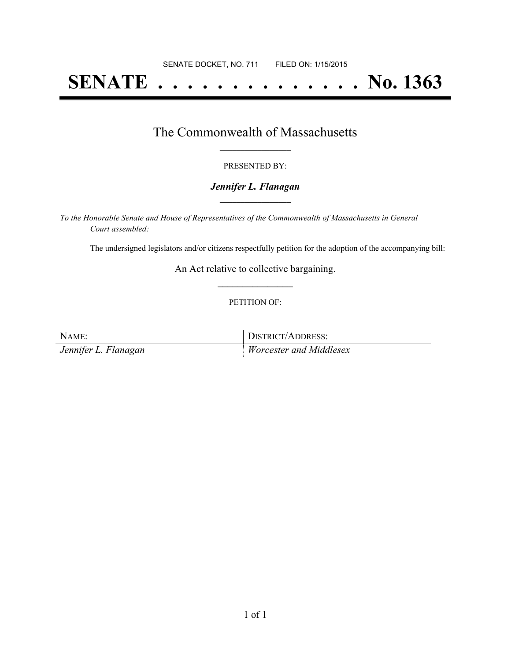# **SENATE . . . . . . . . . . . . . . No. 1363**

## The Commonwealth of Massachusetts **\_\_\_\_\_\_\_\_\_\_\_\_\_\_\_\_\_**

#### PRESENTED BY:

#### *Jennifer L. Flanagan* **\_\_\_\_\_\_\_\_\_\_\_\_\_\_\_\_\_**

*To the Honorable Senate and House of Representatives of the Commonwealth of Massachusetts in General Court assembled:*

The undersigned legislators and/or citizens respectfully petition for the adoption of the accompanying bill:

An Act relative to collective bargaining. **\_\_\_\_\_\_\_\_\_\_\_\_\_\_\_**

#### PETITION OF:

| NAME:                | DISTRICT/ADDRESS:              |
|----------------------|--------------------------------|
| Jennifer L. Flanagan | <i>Worcester and Middlesex</i> |